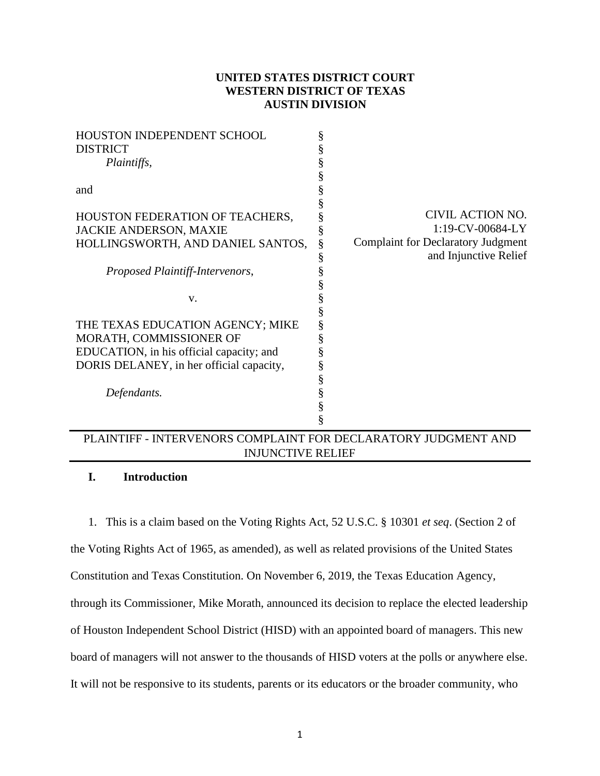# **UNITED STATES DISTRICT COURT WESTERN DISTRICT OF TEXAS AUSTIN DIVISION**

| <b>HOUSTON INDEPENDENT SCHOOL</b>        | § |                                           |
|------------------------------------------|---|-------------------------------------------|
| <b>DISTRICT</b>                          | § |                                           |
| Plaintiffs,                              | § |                                           |
|                                          | § |                                           |
| and                                      | § |                                           |
|                                          | § |                                           |
| HOUSTON FEDERATION OF TEACHERS,          | § | CIVIL ACTION NO.                          |
| <b>JACKIE ANDERSON, MAXIE</b>            | § | 1:19-CV-00684-LY                          |
| HOLLINGSWORTH, AND DANIEL SANTOS,        | § | <b>Complaint for Declaratory Judgment</b> |
|                                          | § | and Injunctive Relief                     |
| Proposed Plaintiff-Intervenors,          | § |                                           |
|                                          | § |                                           |
| V.                                       | § |                                           |
|                                          | § |                                           |
| THE TEXAS EDUCATION AGENCY; MIKE         | § |                                           |
| MORATH, COMMISSIONER OF                  | § |                                           |
| EDUCATION, in his official capacity; and | § |                                           |
| DORIS DELANEY, in her official capacity, | § |                                           |
|                                          | § |                                           |
| Defendants.                              | § |                                           |
|                                          | § |                                           |
|                                          | § |                                           |
|                                          |   |                                           |

# PLAINTIFF - INTERVENORS COMPLAINT FOR DECLARATORY JUDGMENT AND INJUNCTIVE RELIEF

# **I. Introduction**

1. This is a claim based on the Voting Rights Act, 52 U.S.C. § 10301 *et seq*. (Section 2 of

the Voting Rights Act of 1965, as amended), as well as related provisions of the United States

Constitution and Texas Constitution. On November 6, 2019, the Texas Education Agency,

through its Commissioner, Mike Morath, announced its decision to replace the elected leadership

of Houston Independent School District (HISD) with an appointed board of managers. This new

board of managers will not answer to the thousands of HISD voters at the polls or anywhere else.

It will not be responsive to its students, parents or its educators or the broader community, who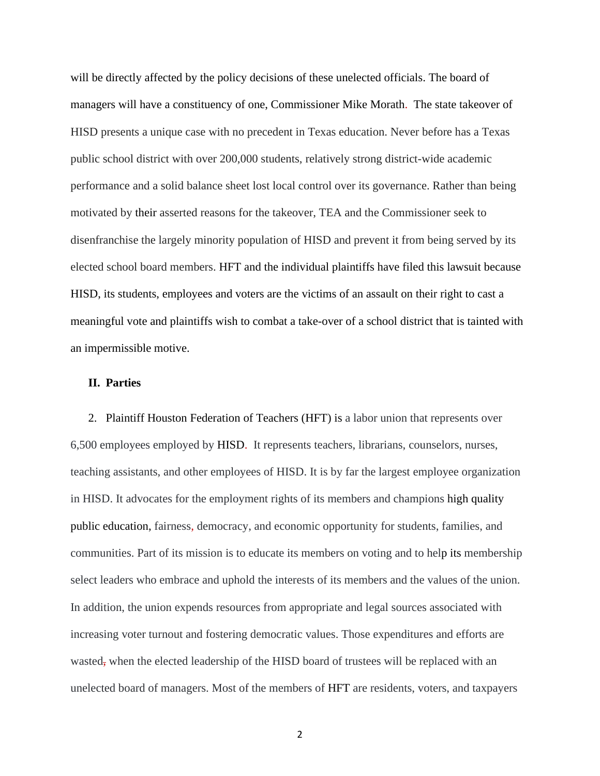will be directly affected by the policy decisions of these unelected officials. The board of managers will have a constituency of one, Commissioner Mike Morath. The state takeover of HISD presents a unique case with no precedent in Texas education. Never before has a Texas public school district with over 200,000 students, relatively strong district-wide academic performance and a solid balance sheet lost local control over its governance. Rather than being motivated by their asserted reasons for the takeover, TEA and the Commissioner seek to disenfranchise the largely minority population of HISD and prevent it from being served by its elected school board members. HFT and the individual plaintiffs have filed this lawsuit because HISD, its students, employees and voters are the victims of an assault on their right to cast a meaningful vote and plaintiffs wish to combat a take-over of a school district that is tainted with an impermissible motive.

# **II. Parties**

2. Plaintiff Houston Federation of Teachers (HFT) is a labor union that represents over 6,500 employees employed by HISD. It represents teachers, librarians, counselors, nurses, teaching assistants, and other employees of HISD. It is by far the largest employee organization in HISD. It advocates for the employment rights of its members and champions high quality public education, fairness, democracy, and economic opportunity for students, families, and communities. Part of its mission is to educate its members on voting and to help its membership select leaders who embrace and uphold the interests of its members and the values of the union. In addition, the union expends resources from appropriate and legal sources associated with increasing voter turnout and fostering democratic values. Those expenditures and efforts are wasted, when the elected leadership of the HISD board of trustees will be replaced with an unelected board of managers. Most of the members of HFT are residents, voters, and taxpayers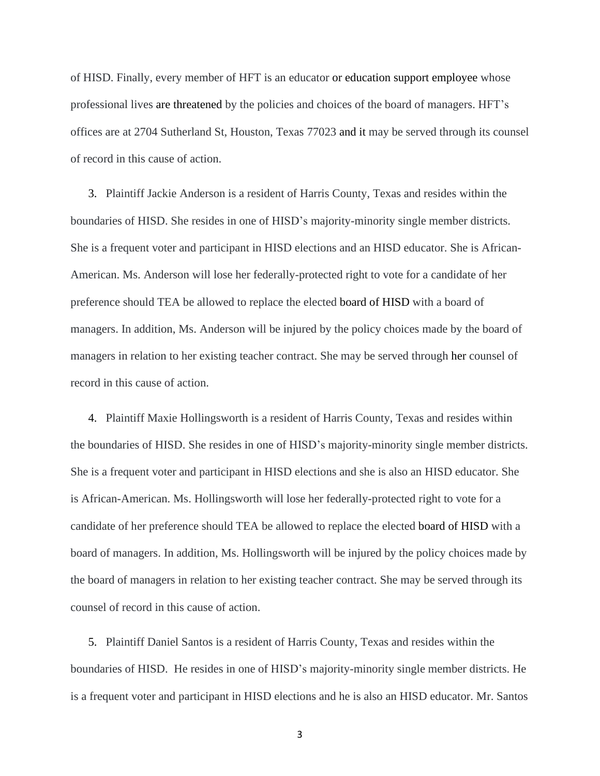of HISD. Finally, every member of HFT is an educator or education support employee whose professional lives are threatened by the policies and choices of the board of managers. HFT's offices are at 2704 Sutherland St, Houston, Texas 77023 and it may be served through its counsel of record in this cause of action.

3. Plaintiff Jackie Anderson is a resident of Harris County, Texas and resides within the boundaries of HISD. She resides in one of HISD's majority-minority single member districts. She is a frequent voter and participant in HISD elections and an HISD educator. She is African-American. Ms. Anderson will lose her federally-protected right to vote for a candidate of her preference should TEA be allowed to replace the elected board of HISD with a board of managers. In addition, Ms. Anderson will be injured by the policy choices made by the board of managers in relation to her existing teacher contract. She may be served through her counsel of record in this cause of action.

4. Plaintiff Maxie Hollingsworth is a resident of Harris County, Texas and resides within the boundaries of HISD. She resides in one of HISD's majority-minority single member districts. She is a frequent voter and participant in HISD elections and she is also an HISD educator. She is African-American. Ms. Hollingsworth will lose her federally-protected right to vote for a candidate of her preference should TEA be allowed to replace the elected board of HISD with a board of managers. In addition, Ms. Hollingsworth will be injured by the policy choices made by the board of managers in relation to her existing teacher contract. She may be served through its counsel of record in this cause of action.

5. Plaintiff Daniel Santos is a resident of Harris County, Texas and resides within the boundaries of HISD. He resides in one of HISD's majority-minority single member districts. He is a frequent voter and participant in HISD elections and he is also an HISD educator. Mr. Santos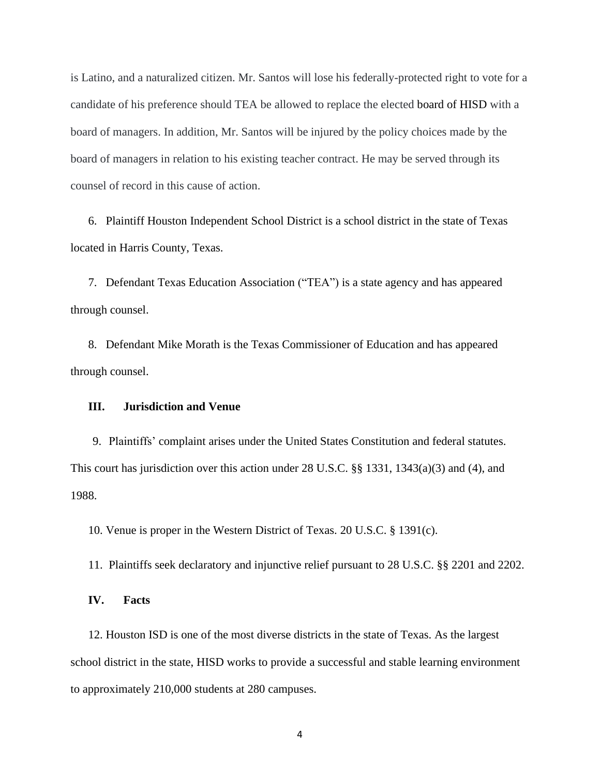is Latino, and a naturalized citizen. Mr. Santos will lose his federally-protected right to vote for a candidate of his preference should TEA be allowed to replace the elected board of HISD with a board of managers. In addition, Mr. Santos will be injured by the policy choices made by the board of managers in relation to his existing teacher contract. He may be served through its counsel of record in this cause of action.

6. Plaintiff Houston Independent School District is a school district in the state of Texas located in Harris County, Texas.

7. Defendant Texas Education Association ("TEA") is a state agency and has appeared through counsel.

8. Defendant Mike Morath is the Texas Commissioner of Education and has appeared through counsel.

### **III. Jurisdiction and Venue**

9. Plaintiffs' complaint arises under the United States Constitution and federal statutes. This court has jurisdiction over this action under 28 U.S.C. §§ 1331, 1343(a)(3) and (4), and 1988.

10. Venue is proper in the Western District of Texas. 20 U.S.C. § 1391(c).

11. Plaintiffs seek declaratory and injunctive relief pursuant to 28 U.S.C. §§ 2201 and 2202.

**IV. Facts**

12. Houston ISD is one of the most diverse districts in the state of Texas. As the largest school district in the state, HISD works to provide a successful and stable learning environment to approximately 210,000 students at 280 campuses.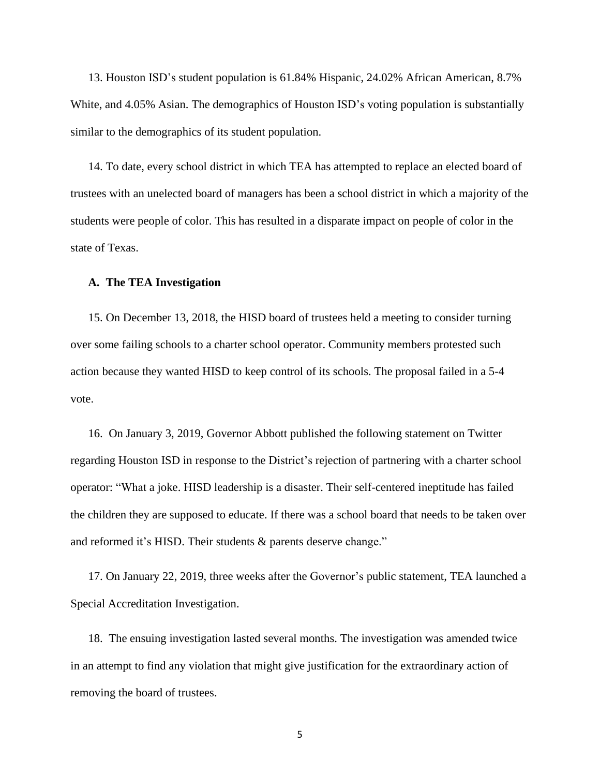13. Houston ISD's student population is 61.84% Hispanic, 24.02% African American, 8.7% White, and 4.05% Asian. The demographics of Houston ISD's voting population is substantially similar to the demographics of its student population.

14. To date, every school district in which TEA has attempted to replace an elected board of trustees with an unelected board of managers has been a school district in which a majority of the students were people of color. This has resulted in a disparate impact on people of color in the state of Texas.

#### **A. The TEA Investigation**

15. On December 13, 2018, the HISD board of trustees held a meeting to consider turning over some failing schools to a charter school operator. Community members protested such action because they wanted HISD to keep control of its schools. The proposal failed in a 5-4 vote.

16. On January 3, 2019, Governor Abbott published the following statement on Twitter regarding Houston ISD in response to the District's rejection of partnering with a charter school operator: "What a joke. HISD leadership is a disaster. Their self-centered ineptitude has failed the children they are supposed to educate. If there was a school board that needs to be taken over and reformed it's HISD. Their students & parents deserve change."

17. On January 22, 2019, three weeks after the Governor's public statement, TEA launched a Special Accreditation Investigation.

18. The ensuing investigation lasted several months. The investigation was amended twice in an attempt to find any violation that might give justification for the extraordinary action of removing the board of trustees.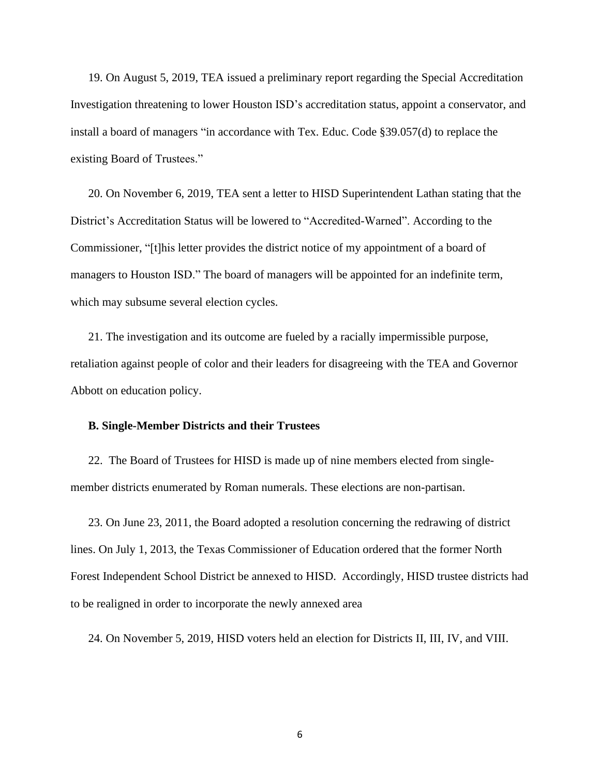19. On August 5, 2019, TEA issued a preliminary report regarding the Special Accreditation Investigation threatening to lower Houston ISD's accreditation status, appoint a conservator, and install a board of managers "in accordance with Tex. Educ. Code §39.057(d) to replace the existing Board of Trustees."

20. On November 6, 2019, TEA sent a letter to HISD Superintendent Lathan stating that the District's Accreditation Status will be lowered to "Accredited-Warned". According to the Commissioner, "[t]his letter provides the district notice of my appointment of a board of managers to Houston ISD." The board of managers will be appointed for an indefinite term, which may subsume several election cycles.

21. The investigation and its outcome are fueled by a racially impermissible purpose, retaliation against people of color and their leaders for disagreeing with the TEA and Governor Abbott on education policy.

## **B. Single-Member Districts and their Trustees**

22. The Board of Trustees for HISD is made up of nine members elected from singlemember districts enumerated by Roman numerals. These elections are non-partisan.

23. On June 23, 2011, the Board adopted a resolution concerning the redrawing of district lines. On July 1, 2013, the Texas Commissioner of Education ordered that the former North Forest Independent School District be annexed to HISD. Accordingly, HISD trustee districts had to be realigned in order to incorporate the newly annexed area

24. On November 5, 2019, HISD voters held an election for Districts II, III, IV, and VIII.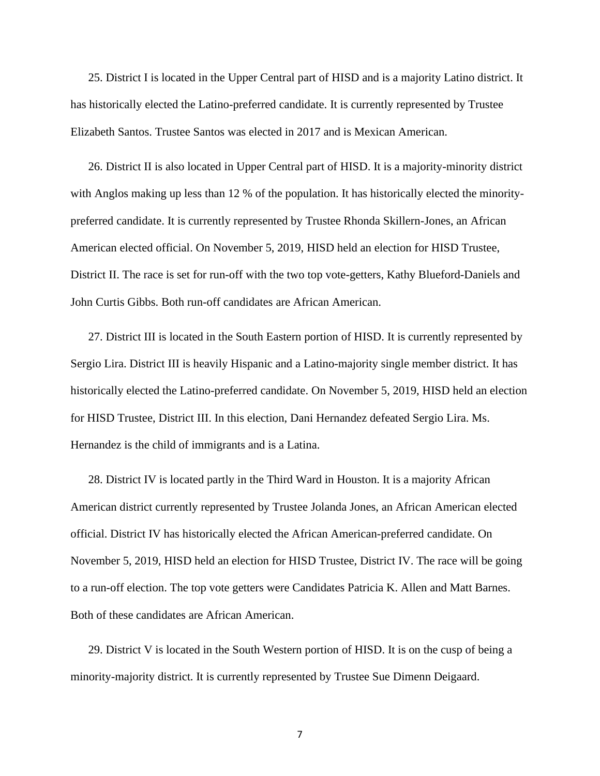25. District I is located in the Upper Central part of HISD and is a majority Latino district. It has historically elected the Latino-preferred candidate. It is currently represented by Trustee Elizabeth Santos. Trustee Santos was elected in 2017 and is Mexican American.

26. District II is also located in Upper Central part of HISD. It is a majority-minority district with Anglos making up less than 12 % of the population. It has historically elected the minoritypreferred candidate. It is currently represented by Trustee Rhonda Skillern-Jones, an African American elected official. On November 5, 2019, HISD held an election for HISD Trustee, District II. The race is set for run-off with the two top vote-getters, Kathy Blueford-Daniels and John Curtis Gibbs. Both run-off candidates are African American.

27. District III is located in the South Eastern portion of HISD. It is currently represented by Sergio Lira. District III is heavily Hispanic and a Latino-majority single member district. It has historically elected the Latino-preferred candidate. On November 5, 2019, HISD held an election for HISD Trustee, District III. In this election, Dani Hernandez defeated Sergio Lira. Ms. Hernandez is the child of immigrants and is a Latina.

28. District IV is located partly in the Third Ward in Houston. It is a majority African American district currently represented by Trustee Jolanda Jones, an African American elected official. District IV has historically elected the African American-preferred candidate. On November 5, 2019, HISD held an election for HISD Trustee, District IV. The race will be going to a run-off election. The top vote getters were Candidates Patricia K. Allen and Matt Barnes. Both of these candidates are African American.

29. District V is located in the South Western portion of HISD. It is on the cusp of being a minority-majority district. It is currently represented by Trustee Sue Dimenn Deigaard.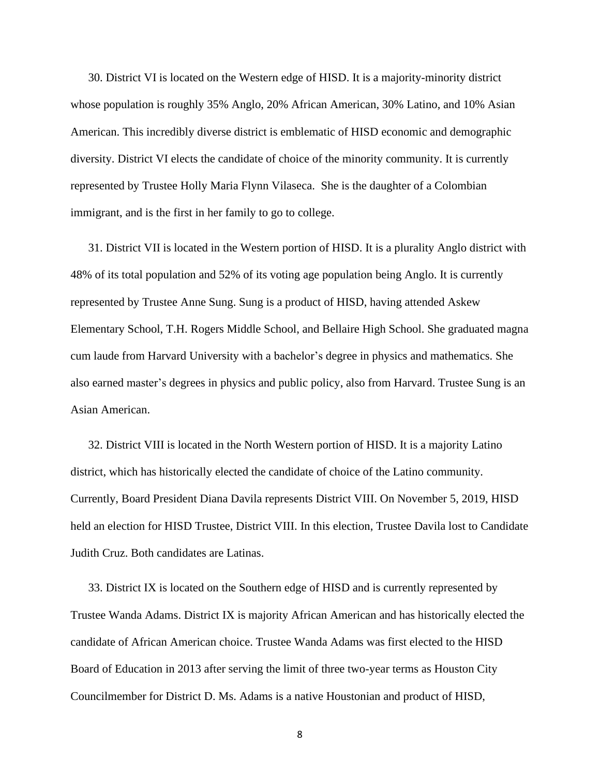30. District VI is located on the Western edge of HISD. It is a majority-minority district whose population is roughly 35% Anglo, 20% African American, 30% Latino, and 10% Asian American. This incredibly diverse district is emblematic of HISD economic and demographic diversity. District VI elects the candidate of choice of the minority community. It is currently represented by Trustee Holly Maria Flynn Vilaseca. She is the daughter of a Colombian immigrant, and is the first in her family to go to college.

31. District VII is located in the Western portion of HISD. It is a plurality Anglo district with 48% of its total population and 52% of its voting age population being Anglo. It is currently represented by Trustee Anne Sung. Sung is a product of HISD, having attended Askew Elementary School, T.H. Rogers Middle School, and Bellaire High School. She graduated magna cum laude from Harvard University with a bachelor's degree in physics and mathematics. She also earned master's degrees in physics and public policy, also from Harvard. Trustee Sung is an Asian American.

32. District VIII is located in the North Western portion of HISD. It is a majority Latino district, which has historically elected the candidate of choice of the Latino community. Currently, Board President Diana Davila represents District VIII. On November 5, 2019, HISD held an election for HISD Trustee, District VIII. In this election, Trustee Davila lost to Candidate Judith Cruz. Both candidates are Latinas.

33. District IX is located on the Southern edge of HISD and is currently represented by Trustee Wanda Adams. District IX is majority African American and has historically elected the candidate of African American choice. Trustee Wanda Adams was first elected to the HISD Board of Education in 2013 after serving the limit of three two-year terms as Houston City Councilmember for District D. Ms. Adams is a native Houstonian and product of HISD,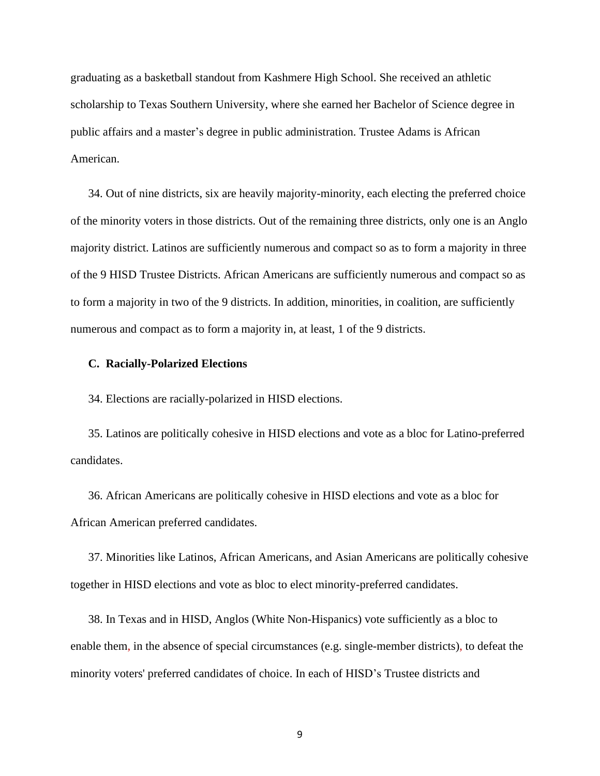graduating as a basketball standout from Kashmere High School. She received an athletic scholarship to Texas Southern University, where she earned her Bachelor of Science degree in public affairs and a master's degree in public administration. Trustee Adams is African American.

34. Out of nine districts, six are heavily majority-minority, each electing the preferred choice of the minority voters in those districts. Out of the remaining three districts, only one is an Anglo majority district. Latinos are sufficiently numerous and compact so as to form a majority in three of the 9 HISD Trustee Districts. African Americans are sufficiently numerous and compact so as to form a majority in two of the 9 districts. In addition, minorities, in coalition, are sufficiently numerous and compact as to form a majority in, at least, 1 of the 9 districts.

## **C. Racially-Polarized Elections**

34. Elections are racially-polarized in HISD elections.

35. Latinos are politically cohesive in HISD elections and vote as a bloc for Latino-preferred candidates.

36. African Americans are politically cohesive in HISD elections and vote as a bloc for African American preferred candidates.

37. Minorities like Latinos, African Americans, and Asian Americans are politically cohesive together in HISD elections and vote as bloc to elect minority-preferred candidates.

38. In Texas and in HISD, Anglos (White Non-Hispanics) vote sufficiently as a bloc to enable them, in the absence of special circumstances (e.g. single-member districts), to defeat the minority voters' preferred candidates of choice. In each of HISD's Trustee districts and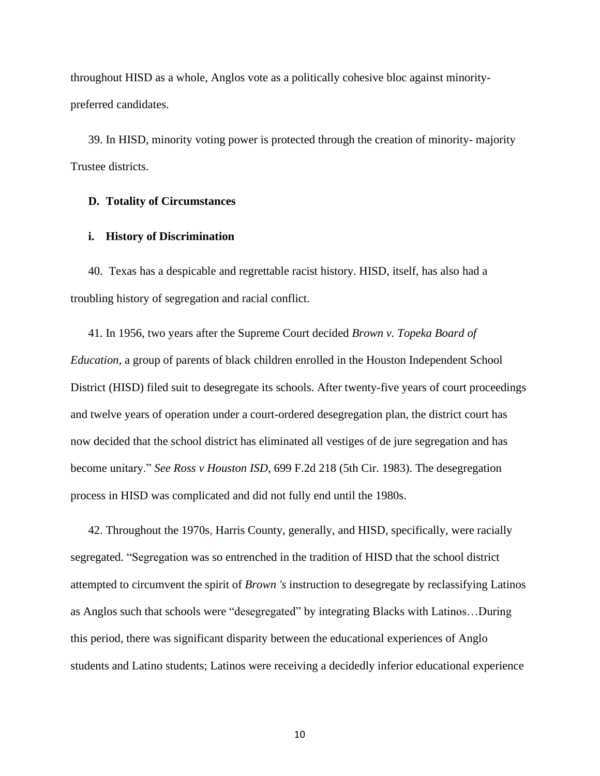throughout HISD as a whole, Anglos vote as a politically cohesive bloc against minoritypreferred candidates.

39. In HISD, minority voting power is protected through the creation of minority- majority Trustee districts.

# **D. Totality of Circumstances**

# **i. History of Discrimination**

40. Texas has a despicable and regrettable racist history. HISD, itself, has also had a troubling history of segregation and racial conflict.

41. In 1956, two years after the Supreme Court decided *Brown v. Topeka Board of Education,* a group of parents of black children enrolled in the Houston Independent School District (HISD) filed suit to desegregate its schools. After twenty-five years of court proceedings and twelve years of operation under a court-ordered desegregation plan, the district court has now decided that the school district has eliminated all vestiges of de jure segregation and has become unitary." *See Ross v Houston ISD*, 699 F.2d 218 (5th Cir. 1983). The desegregation process in HISD was complicated and did not fully end until the 1980s.

42. Throughout the 1970s, Harris County, generally, and HISD, specifically, were racially segregated. "Segregation was so entrenched in the tradition of HISD that the school district attempted to circumvent the spirit of *Brown 's* instruction to desegregate by reclassifying Latinos as Anglos such that schools were "desegregated" by integrating Blacks with Latinos…During this period, there was significant disparity between the educational experiences of Anglo students and Latino students; Latinos were receiving a decidedly inferior educational experience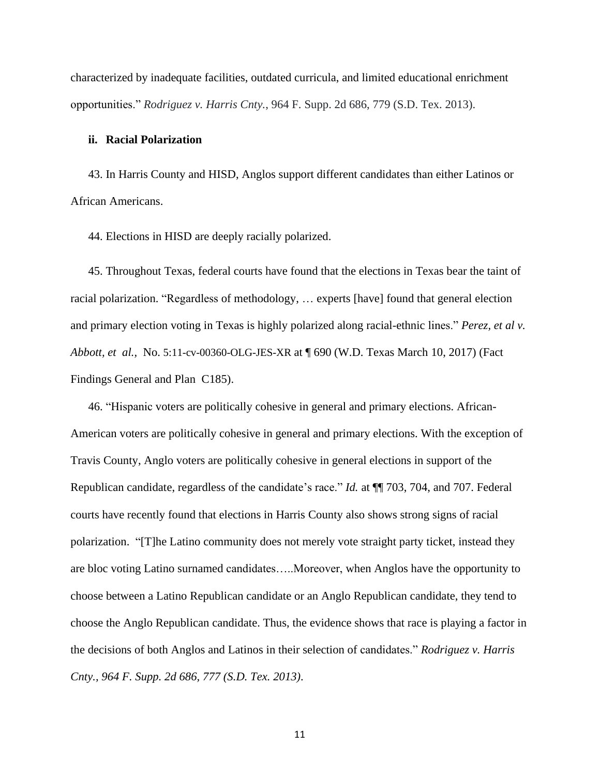characterized by inadequate facilities, outdated curricula, and limited educational enrichment opportunities." *Rodriguez v. Harris Cnty.*, 964 F. Supp. 2d 686, 779 (S.D. Tex. 2013).

#### **ii. Racial Polarization**

43. In Harris County and HISD, Anglos support different candidates than either Latinos or African Americans.

44. Elections in HISD are deeply racially polarized.

45. Throughout Texas, federal courts have found that the elections in Texas bear the taint of racial polarization. "Regardless of methodology, … experts [have] found that general election and primary election voting in Texas is highly polarized along racial-ethnic lines." *Perez, et al v. Abbott, et al.,* No. 5:11-cv-00360-OLG-JES-XR at ¶ 690 (W.D. Texas March 10, 2017) (Fact Findings General and Plan C185).

46. "Hispanic voters are politically cohesive in general and primary elections. African-American voters are politically cohesive in general and primary elections. With the exception of Travis County, Anglo voters are politically cohesive in general elections in support of the Republican candidate, regardless of the candidate's race." *Id.* at ¶¶ 703, 704, and 707. Federal courts have recently found that elections in Harris County also shows strong signs of racial polarization. "[T]he Latino community does not merely vote straight party ticket, instead they are bloc voting Latino surnamed candidates…..Moreover, when Anglos have the opportunity to choose between a Latino Republican candidate or an Anglo Republican candidate, they tend to choose the Anglo Republican candidate. Thus, the evidence shows that race is playing a factor in the decisions of both Anglos and Latinos in their selection of candidates." *Rodriguez v. Harris Cnty., 964 F. Supp. 2d 686, 777 (S.D. Tex. 2013)*.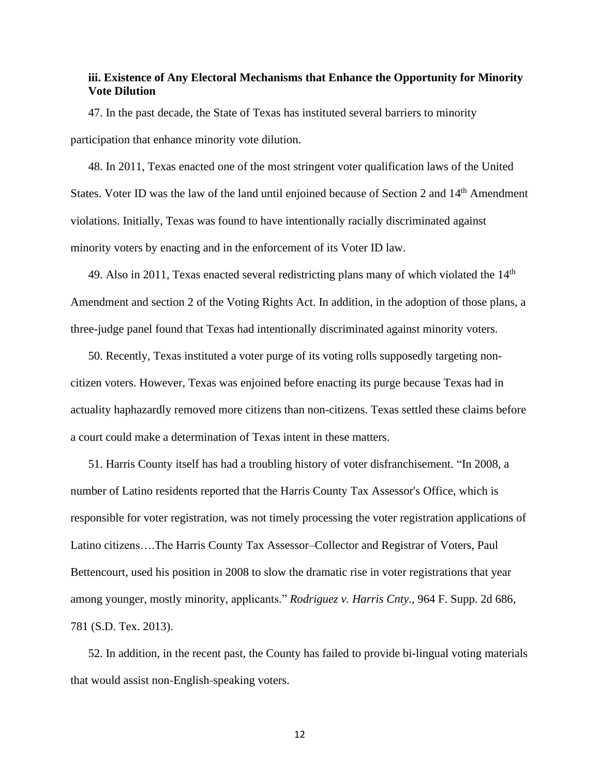# **iii. Existence of Any Electoral Mechanisms that Enhance the Opportunity for Minority Vote Dilution**

47. In the past decade, the State of Texas has instituted several barriers to minority participation that enhance minority vote dilution.

48. In 2011, Texas enacted one of the most stringent voter qualification laws of the United States. Voter ID was the law of the land until enjoined because of Section 2 and 14<sup>th</sup> Amendment violations. Initially, Texas was found to have intentionally racially discriminated against minority voters by enacting and in the enforcement of its Voter ID law.

49. Also in 2011, Texas enacted several redistricting plans many of which violated the  $14<sup>th</sup>$ Amendment and section 2 of the Voting Rights Act. In addition, in the adoption of those plans, a three-judge panel found that Texas had intentionally discriminated against minority voters.

50. Recently, Texas instituted a voter purge of its voting rolls supposedly targeting noncitizen voters. However, Texas was enjoined before enacting its purge because Texas had in actuality haphazardly removed more citizens than non-citizens. Texas settled these claims before a court could make a determination of Texas intent in these matters.

51. Harris County itself has had a troubling history of voter disfranchisement. "In 2008, a number of Latino residents reported that the Harris County Tax Assessor's Office, which is responsible for voter registration, was not timely processing the voter registration applications of Latino citizens….The Harris County Tax Assessor–Collector and Registrar of Voters, Paul Bettencourt, used his position in 2008 to slow the dramatic rise in voter registrations that year among younger, mostly minority, applicants." *Rodriguez v. Harris Cnty*., 964 F. Supp. 2d 686, 781 (S.D. Tex. 2013).

52. In addition, in the recent past, the County has failed to provide bi-lingual voting materials that would assist non-English-speaking voters.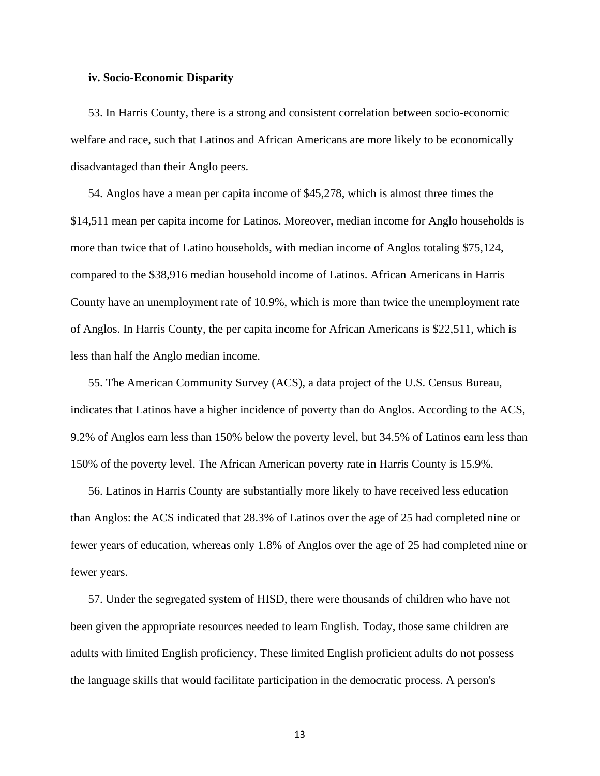### **iv. Socio-Economic Disparity**

53. In Harris County, there is a strong and consistent correlation between socio-economic welfare and race, such that Latinos and African Americans are more likely to be economically disadvantaged than their Anglo peers.

54. Anglos have a mean per capita income of \$45,278, which is almost three times the \$14,511 mean per capita income for Latinos. Moreover, median income for Anglo households is more than twice that of Latino households, with median income of Anglos totaling \$75,124, compared to the \$38,916 median household income of Latinos. African Americans in Harris County have an unemployment rate of 10.9%, which is more than twice the unemployment rate of Anglos. In Harris County, the per capita income for African Americans is \$22,511, which is less than half the Anglo median income.

55. The American Community Survey (ACS), a data project of the U.S. Census Bureau, indicates that Latinos have a higher incidence of poverty than do Anglos. According to the ACS, 9.2% of Anglos earn less than 150% below the poverty level, but 34.5% of Latinos earn less than 150% of the poverty level. The African American poverty rate in Harris County is 15.9%.

56. Latinos in Harris County are substantially more likely to have received less education than Anglos: the ACS indicated that 28.3% of Latinos over the age of 25 had completed nine or fewer years of education, whereas only 1.8% of Anglos over the age of 25 had completed nine or fewer years.

57. Under the segregated system of HISD, there were thousands of children who have not been given the appropriate resources needed to learn English. Today, those same children are adults with limited English proficiency. These limited English proficient adults do not possess the language skills that would facilitate participation in the democratic process. A person's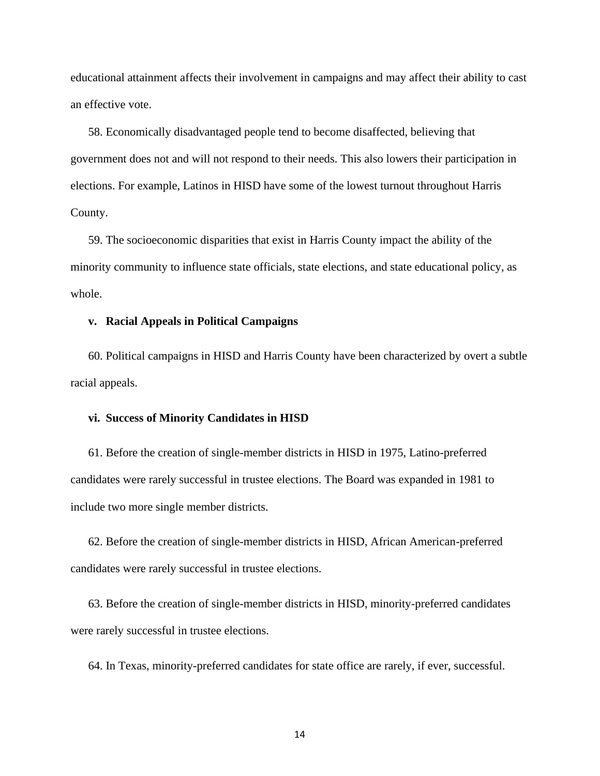educational attainment affects their involvement in campaigns and may affect their ability to cast an effective vote.

58. Economically disadvantaged people tend to become disaffected, believing that government does not and will not respond to their needs. This also lowers their participation in elections. For example, Latinos in HISD have some of the lowest turnout throughout Harris County.

59. The socioeconomic disparities that exist in Harris County impact the ability of the minority community to influence state officials, state elections, and state educational policy, as whole.

#### **v. Racial Appeals in Political Campaigns**

60. Political campaigns in HISD and Harris County have been characterized by overt a subtle racial appeals.

### **vi. Success of Minority Candidates in HISD**

61. Before the creation of single-member districts in HISD in 1975, Latino-preferred candidates were rarely successful in trustee elections. The Board was expanded in 1981 to include two more single member districts.

62. Before the creation of single-member districts in HISD, African American-preferred candidates were rarely successful in trustee elections.

63. Before the creation of single-member districts in HISD, minority-preferred candidates were rarely successful in trustee elections.

64. In Texas, minority-preferred candidates for state office are rarely, if ever, successful.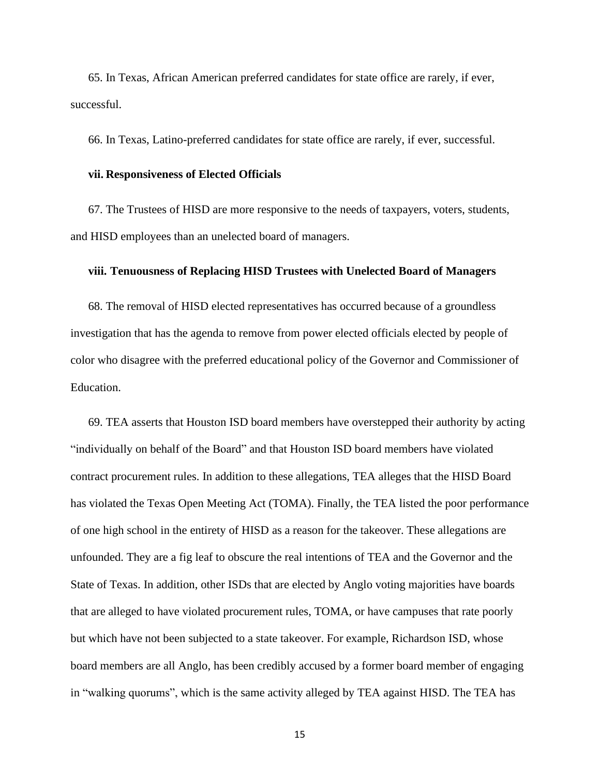65. In Texas, African American preferred candidates for state office are rarely, if ever, successful.

66. In Texas, Latino-preferred candidates for state office are rarely, if ever, successful.

### **vii. Responsiveness of Elected Officials**

67. The Trustees of HISD are more responsive to the needs of taxpayers, voters, students, and HISD employees than an unelected board of managers.

#### **viii. Tenuousness of Replacing HISD Trustees with Unelected Board of Managers**

68. The removal of HISD elected representatives has occurred because of a groundless investigation that has the agenda to remove from power elected officials elected by people of color who disagree with the preferred educational policy of the Governor and Commissioner of Education.

69. TEA asserts that Houston ISD board members have overstepped their authority by acting "individually on behalf of the Board" and that Houston ISD board members have violated contract procurement rules. In addition to these allegations, TEA alleges that the HISD Board has violated the Texas Open Meeting Act (TOMA). Finally, the TEA listed the poor performance of one high school in the entirety of HISD as a reason for the takeover. These allegations are unfounded. They are a fig leaf to obscure the real intentions of TEA and the Governor and the State of Texas. In addition, other ISDs that are elected by Anglo voting majorities have boards that are alleged to have violated procurement rules, TOMA, or have campuses that rate poorly but which have not been subjected to a state takeover. For example, Richardson ISD, whose board members are all Anglo, has been credibly accused by a former board member of engaging in "walking quorums", which is the same activity alleged by TEA against HISD. The TEA has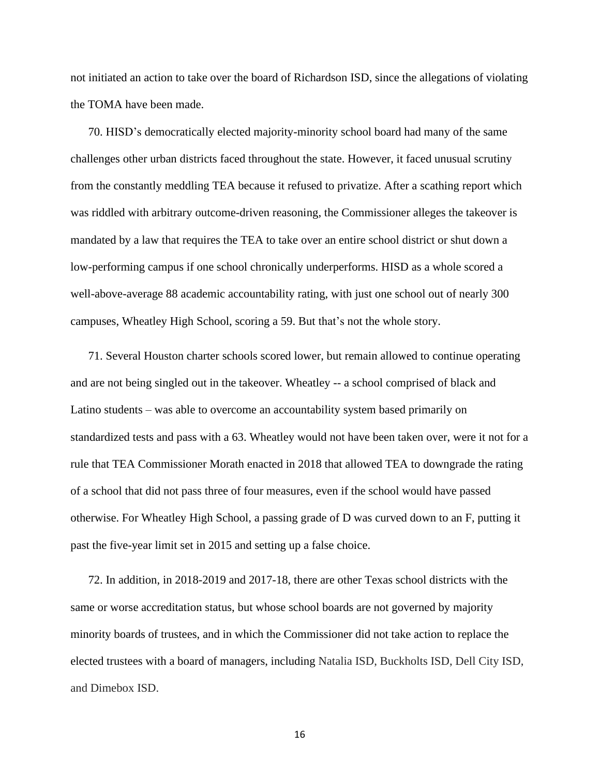not initiated an action to take over the board of Richardson ISD, since the allegations of violating the TOMA have been made.

70. HISD's democratically elected majority-minority school board had many of the same challenges other urban districts faced throughout the state. However, it faced unusual scrutiny from the constantly meddling TEA because it refused to privatize. After a scathing report which was riddled with arbitrary outcome-driven reasoning, the Commissioner alleges the takeover is mandated by a law that requires the TEA to take over an entire school district or shut down a low-performing campus if one school chronically underperforms. HISD as a whole scored a well-above-average 88 academic accountability rating, with just one school out of nearly 300 campuses, Wheatley High School, scoring a 59. But that's not the whole story.

71. Several Houston charter schools scored lower, but remain allowed to continue operating and are not being singled out in the takeover. Wheatley -- a school comprised of black and Latino students – was able to overcome an accountability system based primarily on standardized tests and pass with a 63. Wheatley would not have been taken over, were it not for a rule that TEA Commissioner Morath enacted in 2018 that allowed TEA to downgrade the rating of a school that did not pass three of four measures, even if the school would have passed otherwise. For Wheatley High School, a passing grade of D was curved down to an F, putting it past the five-year limit set in 2015 and setting up a false choice.

72. In addition, in 2018-2019 and 2017-18, there are other Texas school districts with the same or worse accreditation status, but whose school boards are not governed by majority minority boards of trustees, and in which the Commissioner did not take action to replace the elected trustees with a board of managers, including Natalia ISD, Buckholts ISD, Dell City ISD, and Dimebox ISD.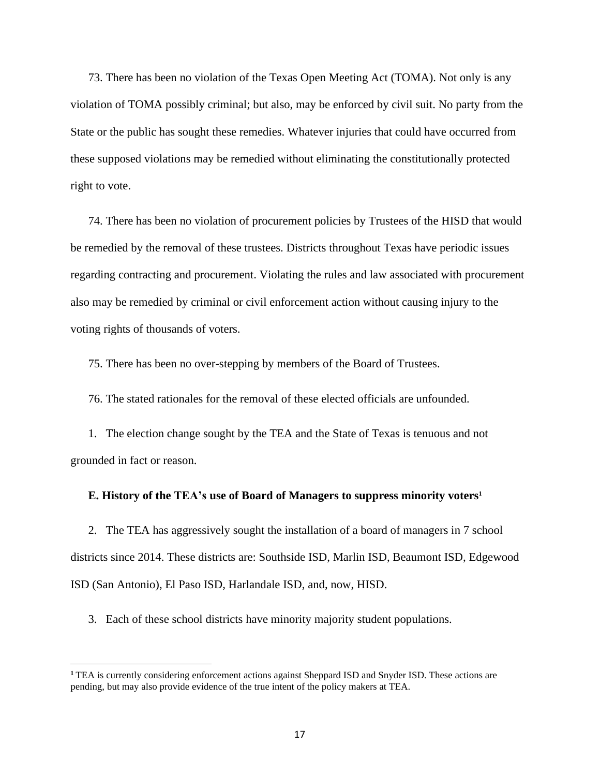73. There has been no violation of the Texas Open Meeting Act (TOMA). Not only is any violation of TOMA possibly criminal; but also, may be enforced by civil suit. No party from the State or the public has sought these remedies. Whatever injuries that could have occurred from these supposed violations may be remedied without eliminating the constitutionally protected right to vote.

74. There has been no violation of procurement policies by Trustees of the HISD that would be remedied by the removal of these trustees. Districts throughout Texas have periodic issues regarding contracting and procurement. Violating the rules and law associated with procurement also may be remedied by criminal or civil enforcement action without causing injury to the voting rights of thousands of voters.

75. There has been no over-stepping by members of the Board of Trustees.

76. The stated rationales for the removal of these elected officials are unfounded.

1. The election change sought by the TEA and the State of Texas is tenuous and not grounded in fact or reason.

## **E. History of the TEA's use of Board of Managers to suppress minority voters<sup>1</sup>**

2. The TEA has aggressively sought the installation of a board of managers in 7 school districts since 2014. These districts are: Southside ISD, Marlin ISD, Beaumont ISD, Edgewood ISD (San Antonio), El Paso ISD, Harlandale ISD, and, now, HISD.

3. Each of these school districts have minority majority student populations.

**<sup>1</sup>** TEA is currently considering enforcement actions against Sheppard ISD and Snyder ISD. These actions are pending, but may also provide evidence of the true intent of the policy makers at TEA.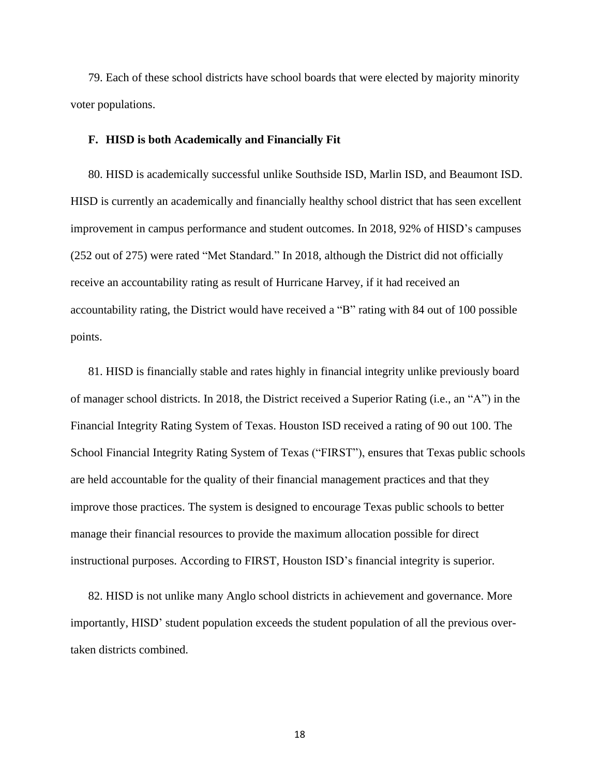79. Each of these school districts have school boards that were elected by majority minority voter populations.

# **F. HISD is both Academically and Financially Fit**

80. HISD is academically successful unlike Southside ISD, Marlin ISD, and Beaumont ISD. HISD is currently an academically and financially healthy school district that has seen excellent improvement in campus performance and student outcomes. In 2018, 92% of HISD's campuses (252 out of 275) were rated "Met Standard." In 2018, although the District did not officially receive an accountability rating as result of Hurricane Harvey, if it had received an accountability rating, the District would have received a "B" rating with 84 out of 100 possible points.

81. HISD is financially stable and rates highly in financial integrity unlike previously board of manager school districts. In 2018, the District received a Superior Rating (i.e., an "A") in the Financial Integrity Rating System of Texas. Houston ISD received a rating of 90 out 100. The School Financial Integrity Rating System of Texas ("FIRST"), ensures that Texas public schools are held accountable for the quality of their financial management practices and that they improve those practices. The system is designed to encourage Texas public schools to better manage their financial resources to provide the maximum allocation possible for direct instructional purposes. According to FIRST, Houston ISD's financial integrity is superior.

82. HISD is not unlike many Anglo school districts in achievement and governance. More importantly, HISD' student population exceeds the student population of all the previous overtaken districts combined.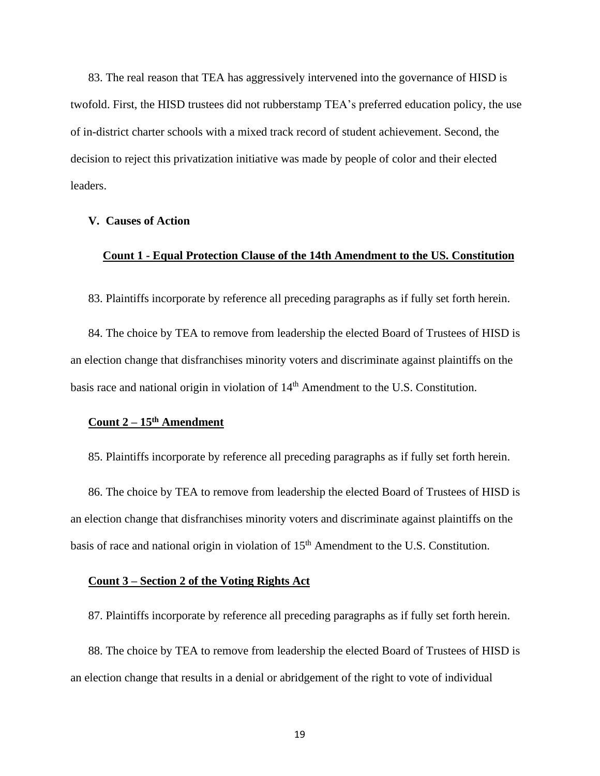83. The real reason that TEA has aggressively intervened into the governance of HISD is twofold. First, the HISD trustees did not rubberstamp TEA's preferred education policy, the use of in-district charter schools with a mixed track record of student achievement. Second, the decision to reject this privatization initiative was made by people of color and their elected leaders.

## **V. Causes of Action**

# **Count 1 - Equal Protection Clause of the 14th Amendment to the US. Constitution**

83. Plaintiffs incorporate by reference all preceding paragraphs as if fully set forth herein.

84. The choice by TEA to remove from leadership the elected Board of Trustees of HISD is an election change that disfranchises minority voters and discriminate against plaintiffs on the basis race and national origin in violation of 14<sup>th</sup> Amendment to the U.S. Constitution.

# **Count 2 – 15th Amendment**

85. Plaintiffs incorporate by reference all preceding paragraphs as if fully set forth herein.

86. The choice by TEA to remove from leadership the elected Board of Trustees of HISD is an election change that disfranchises minority voters and discriminate against plaintiffs on the basis of race and national origin in violation of 15<sup>th</sup> Amendment to the U.S. Constitution.

## **Count 3 – Section 2 of the Voting Rights Act**

87. Plaintiffs incorporate by reference all preceding paragraphs as if fully set forth herein.

88. The choice by TEA to remove from leadership the elected Board of Trustees of HISD is an election change that results in a denial or abridgement of the right to vote of individual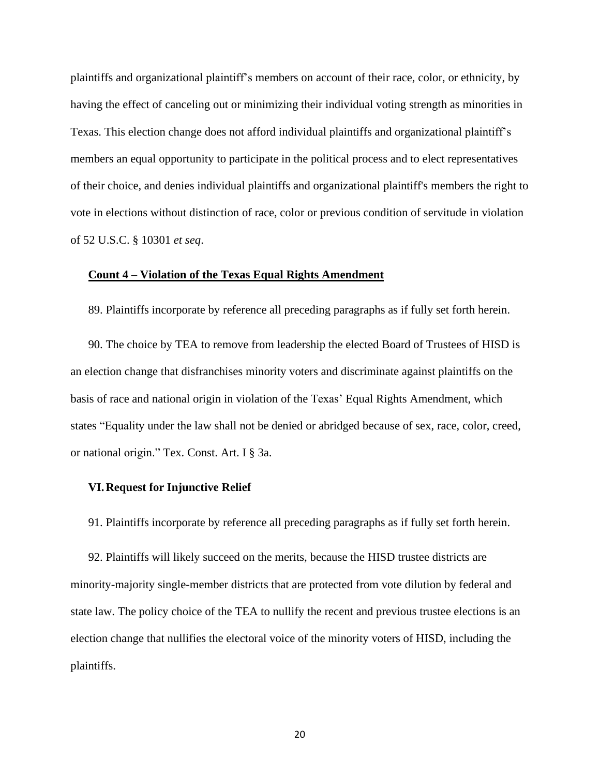plaintiffs and organizational plaintiff's members on account of their race, color, or ethnicity, by having the effect of canceling out or minimizing their individual voting strength as minorities in Texas. This election change does not afford individual plaintiffs and organizational plaintiff's members an equal opportunity to participate in the political process and to elect representatives of their choice, and denies individual plaintiffs and organizational plaintiff's members the right to vote in elections without distinction of race, color or previous condition of servitude in violation of 52 U.S.C. § 10301 *et seq*.

## **Count 4 – Violation of the Texas Equal Rights Amendment**

89. Plaintiffs incorporate by reference all preceding paragraphs as if fully set forth herein.

90. The choice by TEA to remove from leadership the elected Board of Trustees of HISD is an election change that disfranchises minority voters and discriminate against plaintiffs on the basis of race and national origin in violation of the Texas' Equal Rights Amendment, which states "Equality under the law shall not be denied or abridged because of sex, race, color, creed, or national origin." Tex. Const. Art. I § 3a.

# **VI.Request for Injunctive Relief**

91. Plaintiffs incorporate by reference all preceding paragraphs as if fully set forth herein.

92. Plaintiffs will likely succeed on the merits, because the HISD trustee districts are minority-majority single-member districts that are protected from vote dilution by federal and state law. The policy choice of the TEA to nullify the recent and previous trustee elections is an election change that nullifies the electoral voice of the minority voters of HISD, including the plaintiffs.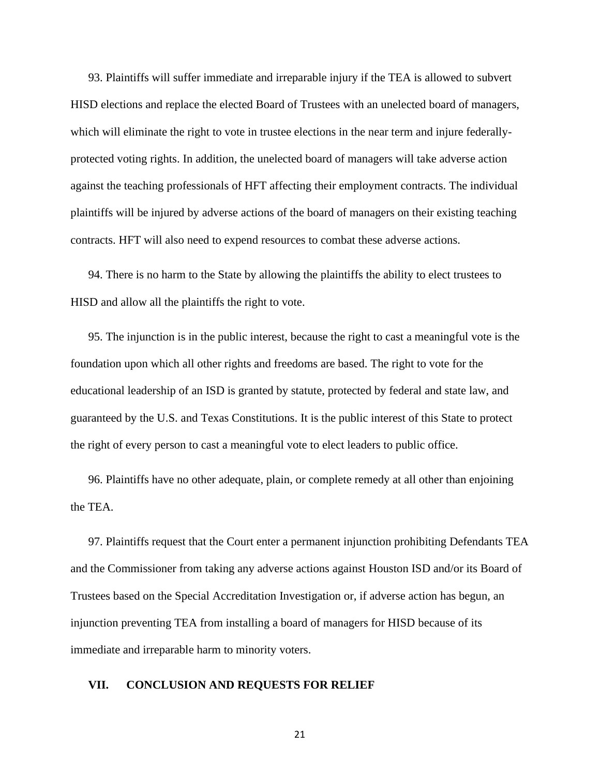93. Plaintiffs will suffer immediate and irreparable injury if the TEA is allowed to subvert HISD elections and replace the elected Board of Trustees with an unelected board of managers, which will eliminate the right to vote in trustee elections in the near term and injure federallyprotected voting rights. In addition, the unelected board of managers will take adverse action against the teaching professionals of HFT affecting their employment contracts. The individual plaintiffs will be injured by adverse actions of the board of managers on their existing teaching contracts. HFT will also need to expend resources to combat these adverse actions.

94. There is no harm to the State by allowing the plaintiffs the ability to elect trustees to HISD and allow all the plaintiffs the right to vote.

95. The injunction is in the public interest, because the right to cast a meaningful vote is the foundation upon which all other rights and freedoms are based. The right to vote for the educational leadership of an ISD is granted by statute, protected by federal and state law, and guaranteed by the U.S. and Texas Constitutions. It is the public interest of this State to protect the right of every person to cast a meaningful vote to elect leaders to public office.

96. Plaintiffs have no other adequate, plain, or complete remedy at all other than enjoining the TEA.

97. Plaintiffs request that the Court enter a permanent injunction prohibiting Defendants TEA and the Commissioner from taking any adverse actions against Houston ISD and/or its Board of Trustees based on the Special Accreditation Investigation or, if adverse action has begun, an injunction preventing TEA from installing a board of managers for HISD because of its immediate and irreparable harm to minority voters.

# **VII. CONCLUSION AND REQUESTS FOR RELIEF**